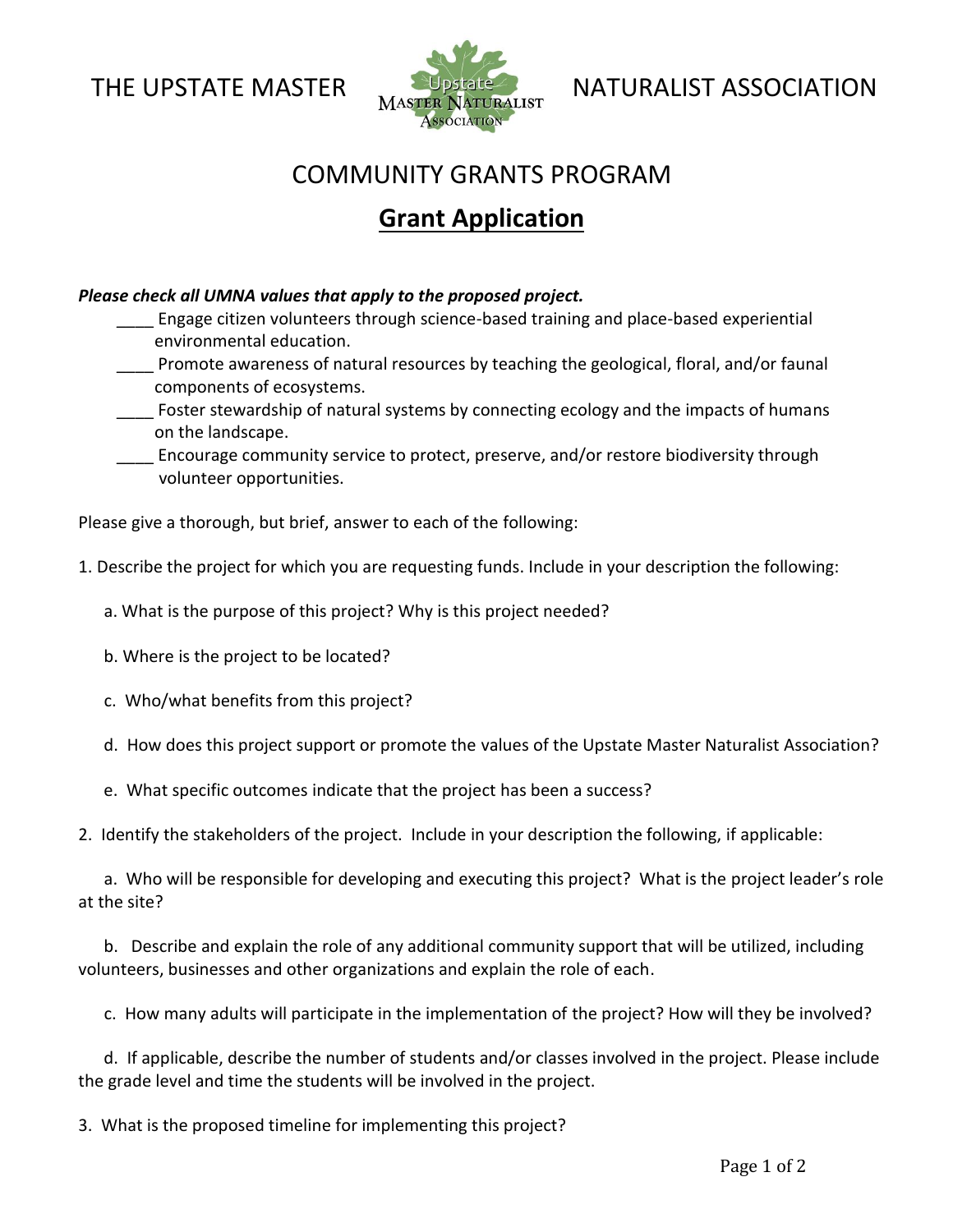

THE UPSTATE MASTER NATURALIST ASSOCIATION

## COMMUNITY GRANTS PROGRAM

## **Grant Application**

## *Please check all UMNA values that apply to the proposed project.*

 \_\_\_\_ Engage citizen volunteers through science-based training and place-based experiential environmental education.

 \_\_\_\_ Promote awareness of natural resources by teaching the geological, floral, and/or faunal components of ecosystems.

Foster stewardship of natural systems by connecting ecology and the impacts of humans on the landscape.

 \_\_\_\_ Encourage community service to protect, preserve, and/or restore biodiversity through volunteer opportunities.

Please give a thorough, but brief, answer to each of the following:

1. Describe the project for which you are requesting funds. Include in your description the following:

a. What is the purpose of this project? Why is this project needed?

b. Where is the project to be located?

c. Who/what benefits from this project?

d. How does this project support or promote the values of the Upstate Master Naturalist Association?

e. What specific outcomes indicate that the project has been a success?

2. Identify the stakeholders of the project. Include in your description the following, if applicable:

 a. Who will be responsible for developing and executing this project? What is the project leader's role at the site?

 b. Describe and explain the role of any additional community support that will be utilized, including volunteers, businesses and other organizations and explain the role of each.

c. How many adults will participate in the implementation of the project? How will they be involved?

 d. If applicable, describe the number of students and/or classes involved in the project. Please include the grade level and time the students will be involved in the project.

3. What is the proposed timeline for implementing this project?